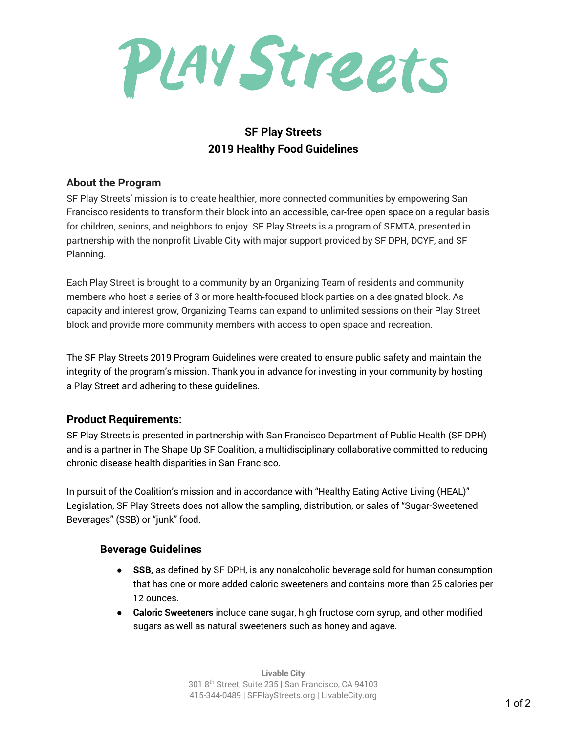PLAY Streets

# **SF Play Streets 2019 Healthy Food Guidelines**

#### **About the Program**

SF Play Streets' mission is to create healthier, more connected communities by empowering San Francisco residents to transform their block into an accessible, car-free open space on a regular basis for children, seniors, and neighbors to enjoy. SF Play Streets is a program of SFMTA, presented in partnership with the nonprofit Livable City with major support provided by SF DPH, DCYF, and SF Planning.

Each Play Street is brought to a community by an Organizing Team of residents and community members who host a series of 3 or more health-focused block parties on a designated block. As capacity and interest grow, Organizing Teams can expand to unlimited sessions on their Play Street block and provide more community members with access to open space and recreation.

The SF Play Streets 2019 Program Guidelines were created to ensure public safety and maintain the integrity of the program's mission. Thank you in advance for investing in your community by hosting a Play Street and adhering to these guidelines.

## **Product Requirements:**

SF Play Streets is presented in partnership with San Francisco Department of Public Health (SF DPH) and is a partner in The Shape Up SF Coalition, a multidisciplinary collaborative committed to reducing chronic disease health disparities in San Francisco.

In pursuit of the Coalition's mission and in accordance with "Healthy Eating Active Living (HEAL)" Legislation, SF Play Streets does not allow the sampling, distribution, or sales of "Sugar-Sweetened Beverages" (SSB) or "junk" food.

## **Beverage Guidelines**

- **SSB,** as defined by SF DPH, is any nonalcoholic beverage sold for human consumption that has one or more added caloric sweeteners and contains more than 25 calories per 12 ounces.
- **Caloric Sweeteners** include cane sugar, high fructose corn syrup, and other modified sugars as well as natural sweeteners such as honey and agave.